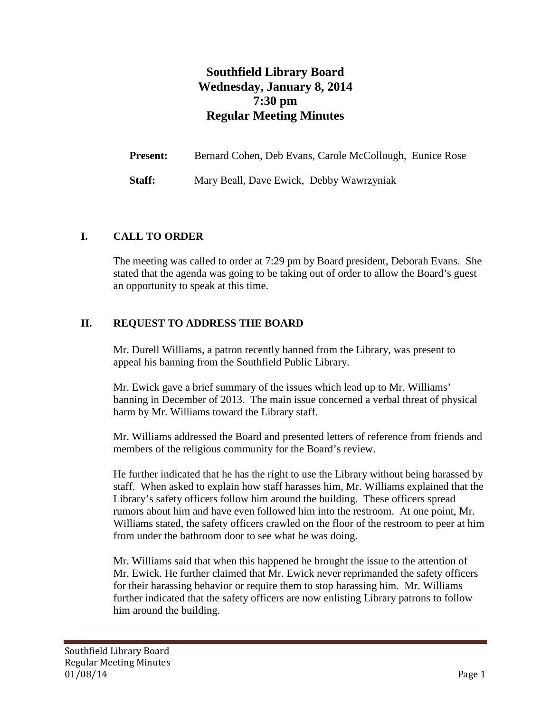# **Southfield Library Board Wednesday, January 8, 2014 7:30 pm Regular Meeting Minutes**

**Present:** Bernard Cohen, Deb Evans, Carole McCollough, Eunice Rose **Staff:** Mary Beall, Dave Ewick, Debby Wawrzyniak

#### **I. CALL TO ORDER**

The meeting was called to order at 7:29 pm by Board president, Deborah Evans. She stated that the agenda was going to be taking out of order to allow the Board's guest an opportunity to speak at this time.

#### **II. REQUEST TO ADDRESS THE BOARD**

Mr. Durell Williams, a patron recently banned from the Library, was present to appeal his banning from the Southfield Public Library.

Mr. Ewick gave a brief summary of the issues which lead up to Mr. Williams' banning in December of 2013. The main issue concerned a verbal threat of physical harm by Mr. Williams toward the Library staff.

Mr. Williams addressed the Board and presented letters of reference from friends and members of the religious community for the Board's review.

He further indicated that he has the right to use the Library without being harassed by staff. When asked to explain how staff harasses him, Mr. Williams explained that the Library's safety officers follow him around the building. These officers spread rumors about him and have even followed him into the restroom. At one point, Mr. Williams stated, the safety officers crawled on the floor of the restroom to peer at him from under the bathroom door to see what he was doing.

Mr. Williams said that when this happened he brought the issue to the attention of Mr. Ewick. He further claimed that Mr. Ewick never reprimanded the safety officers for their harassing behavior or require them to stop harassing him. Mr. Williams further indicated that the safety officers are now enlisting Library patrons to follow him around the building.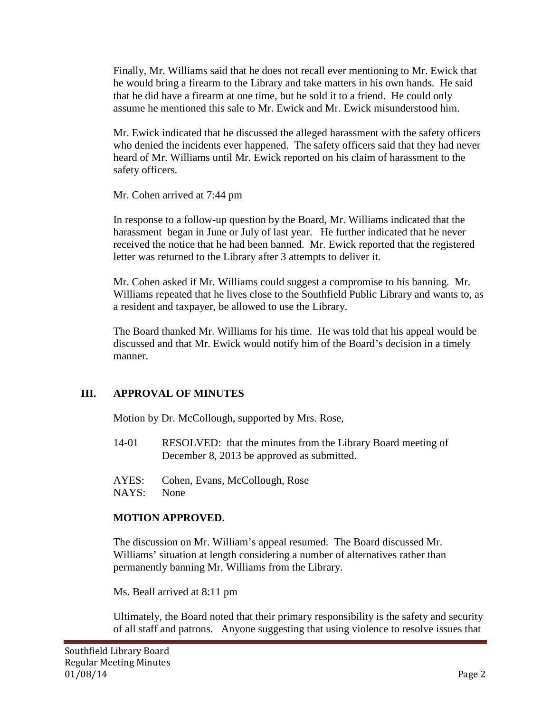Finally, Mr. Williams said that he does not recall ever mentioning to Mr. Ewick that he would bring a firearm to the Library and take matters in his own hands. He said that he did have a firearm at one time, but he sold it to a friend. He could only assume he mentioned this sale to Mr. Ewick and Mr. Ewick misunderstood him.

Mr. Ewick indicated that he discussed the alleged harassment with the safety officers who denied the incidents ever happened. The safety officers said that they had never heard of Mr. Williams until Mr. Ewick reported on his claim of harassment to the safety officers.

Mr. Cohen arrived at 7:44 pm

In response to a follow-up question by the Board, Mr. Williams indicated that the harassment began in June or July of last year. He further indicated that he never received the notice that he had been banned. Mr. Ewick reported that the registered letter was returned to the Library after 3 attempts to deliver it.

Mr. Cohen asked if Mr. Williams could suggest a compromise to his banning. Mr. Williams repeated that he lives close to the Southfield Public Library and wants to, as a resident and taxpayer, be allowed to use the Library.

The Board thanked Mr. Williams for his time. He was told that his appeal would be discussed and that Mr. Ewick would notify him of the Board's decision in a timely manner.

# **III. APPROVAL OF MINUTES**

Motion by Dr. McCollough, supported by Mrs. Rose,

- 14-01 RESOLVED: that the minutes from the Library Board meeting of December 8, 2013 be approved as submitted.
- AYES: Cohen, Evans, McCollough, Rose NAYS: None

#### **MOTION APPROVED.**

The discussion on Mr. William's appeal resumed. The Board discussed Mr. Williams' situation at length considering a number of alternatives rather than permanently banning Mr. Williams from the Library.

Ms. Beall arrived at 8:11 pm

Ultimately, the Board noted that their primary responsibility is the safety and security of all staff and patrons. Anyone suggesting that using violence to resolve issues that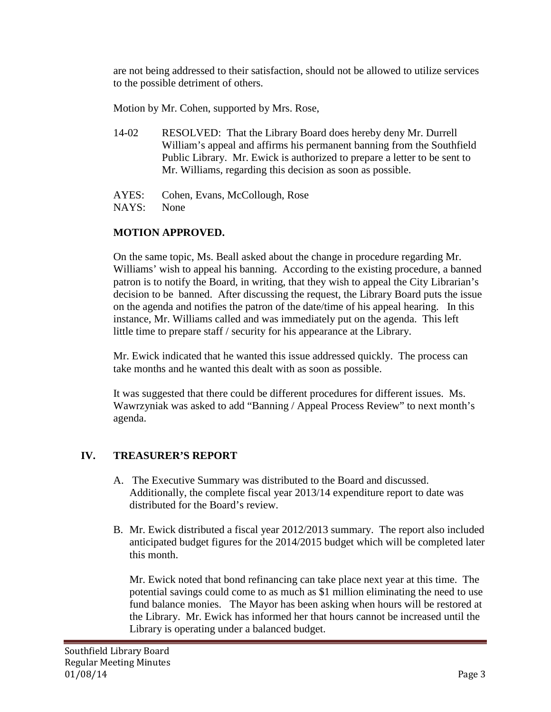are not being addressed to their satisfaction, should not be allowed to utilize services to the possible detriment of others.

Motion by Mr. Cohen, supported by Mrs. Rose,

- 14-02 RESOLVED: That the Library Board does hereby deny Mr. Durrell William's appeal and affirms his permanent banning from the Southfield Public Library. Mr. Ewick is authorized to prepare a letter to be sent to Mr. Williams, regarding this decision as soon as possible.
- AYES: Cohen, Evans, McCollough, Rose
- NAYS: None

### **MOTION APPROVED.**

On the same topic, Ms. Beall asked about the change in procedure regarding Mr. Williams' wish to appeal his banning. According to the existing procedure, a banned patron is to notify the Board, in writing, that they wish to appeal the City Librarian's decision to be banned. After discussing the request, the Library Board puts the issue on the agenda and notifies the patron of the date/time of his appeal hearing. In this instance, Mr. Williams called and was immediately put on the agenda. This left little time to prepare staff / security for his appearance at the Library.

Mr. Ewick indicated that he wanted this issue addressed quickly. The process can take months and he wanted this dealt with as soon as possible.

It was suggested that there could be different procedures for different issues. Ms. Wawrzyniak was asked to add "Banning / Appeal Process Review" to next month's agenda.

# **IV. TREASURER'S REPORT**

- A. The Executive Summary was distributed to the Board and discussed. Additionally, the complete fiscal year 2013/14 expenditure report to date was distributed for the Board's review.
- B. Mr. Ewick distributed a fiscal year 2012/2013 summary. The report also included anticipated budget figures for the 2014/2015 budget which will be completed later this month.

Mr. Ewick noted that bond refinancing can take place next year at this time. The potential savings could come to as much as \$1 million eliminating the need to use fund balance monies. The Mayor has been asking when hours will be restored at the Library. Mr. Ewick has informed her that hours cannot be increased until the Library is operating under a balanced budget.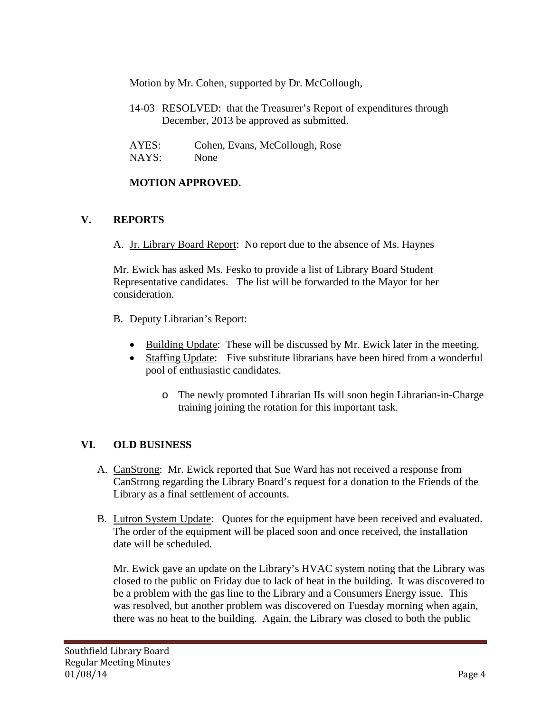Motion by Mr. Cohen, supported by Dr. McCollough,

14-03 RESOLVED: that the Treasurer's Report of expenditures through December, 2013 be approved as submitted.

| AYES: | Cohen, Evans, McCollough, Rose |
|-------|--------------------------------|
| NAYS: | None                           |

### **MOTION APPROVED.**

### **V. REPORTS**

A. Jr. Library Board Report: No report due to the absence of Ms. Haynes

Mr. Ewick has asked Ms. Fesko to provide a list of Library Board Student Representative candidates. The list will be forwarded to the Mayor for her consideration.

- B. Deputy Librarian's Report:
	- Building Update: These will be discussed by Mr. Ewick later in the meeting.
	- Staffing Update: Five substitute librarians have been hired from a wonderful pool of enthusiastic candidates.
		- o The newly promoted Librarian IIs will soon begin Librarian-in-Charge training joining the rotation for this important task.

# **VI. OLD BUSINESS**

- A. CanStrong: Mr. Ewick reported that Sue Ward has not received a response from CanStrong regarding the Library Board's request for a donation to the Friends of the Library as a final settlement of accounts.
- B. Lutron System Update: Quotes for the equipment have been received and evaluated. The order of the equipment will be placed soon and once received, the installation date will be scheduled.

Mr. Ewick gave an update on the Library's HVAC system noting that the Library was closed to the public on Friday due to lack of heat in the building. It was discovered to be a problem with the gas line to the Library and a Consumers Energy issue. This was resolved, but another problem was discovered on Tuesday morning when again, there was no heat to the building. Again, the Library was closed to both the public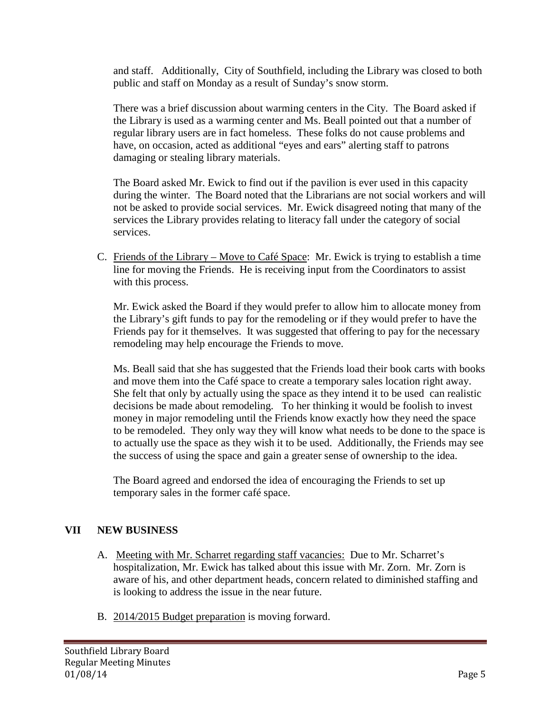and staff. Additionally, City of Southfield, including the Library was closed to both public and staff on Monday as a result of Sunday's snow storm.

There was a brief discussion about warming centers in the City. The Board asked if the Library is used as a warming center and Ms. Beall pointed out that a number of regular library users are in fact homeless. These folks do not cause problems and have, on occasion, acted as additional "eyes and ears" alerting staff to patrons damaging or stealing library materials.

The Board asked Mr. Ewick to find out if the pavilion is ever used in this capacity during the winter. The Board noted that the Librarians are not social workers and will not be asked to provide social services. Mr. Ewick disagreed noting that many of the services the Library provides relating to literacy fall under the category of social services.

C. Friends of the Library – Move to Café Space: Mr. Ewick is trying to establish a time line for moving the Friends. He is receiving input from the Coordinators to assist with this process.

Mr. Ewick asked the Board if they would prefer to allow him to allocate money from the Library's gift funds to pay for the remodeling or if they would prefer to have the Friends pay for it themselves. It was suggested that offering to pay for the necessary remodeling may help encourage the Friends to move.

Ms. Beall said that she has suggested that the Friends load their book carts with books and move them into the Café space to create a temporary sales location right away. She felt that only by actually using the space as they intend it to be used can realistic decisions be made about remodeling. To her thinking it would be foolish to invest money in major remodeling until the Friends know exactly how they need the space to be remodeled. They only way they will know what needs to be done to the space is to actually use the space as they wish it to be used. Additionally, the Friends may see the success of using the space and gain a greater sense of ownership to the idea.

The Board agreed and endorsed the idea of encouraging the Friends to set up temporary sales in the former café space.

# **VII NEW BUSINESS**

- A. Meeting with Mr. Scharret regarding staff vacancies: Due to Mr. Scharret's hospitalization, Mr. Ewick has talked about this issue with Mr. Zorn. Mr. Zorn is aware of his, and other department heads, concern related to diminished staffing and is looking to address the issue in the near future.
- B. 2014/2015 Budget preparation is moving forward.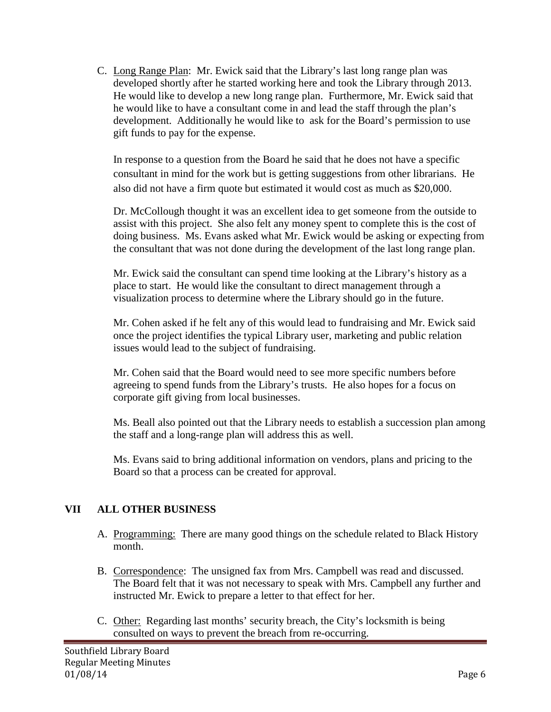C. Long Range Plan: Mr. Ewick said that the Library's last long range plan was developed shortly after he started working here and took the Library through 2013. He would like to develop a new long range plan. Furthermore, Mr. Ewick said that he would like to have a consultant come in and lead the staff through the plan's development. Additionally he would like to ask for the Board's permission to use gift funds to pay for the expense.

In response to a question from the Board he said that he does not have a specific consultant in mind for the work but is getting suggestions from other librarians. He also did not have a firm quote but estimated it would cost as much as \$20,000.

Dr. McCollough thought it was an excellent idea to get someone from the outside to assist with this project. She also felt any money spent to complete this is the cost of doing business. Ms. Evans asked what Mr. Ewick would be asking or expecting from the consultant that was not done during the development of the last long range plan.

Mr. Ewick said the consultant can spend time looking at the Library's history as a place to start. He would like the consultant to direct management through a visualization process to determine where the Library should go in the future.

Mr. Cohen asked if he felt any of this would lead to fundraising and Mr. Ewick said once the project identifies the typical Library user, marketing and public relation issues would lead to the subject of fundraising.

Mr. Cohen said that the Board would need to see more specific numbers before agreeing to spend funds from the Library's trusts. He also hopes for a focus on corporate gift giving from local businesses.

Ms. Beall also pointed out that the Library needs to establish a succession plan among the staff and a long-range plan will address this as well.

Ms. Evans said to bring additional information on vendors, plans and pricing to the Board so that a process can be created for approval.

# **VII ALL OTHER BUSINESS**

- A. Programming: There are many good things on the schedule related to Black History month.
- B. Correspondence: The unsigned fax from Mrs. Campbell was read and discussed. The Board felt that it was not necessary to speak with Mrs. Campbell any further and instructed Mr. Ewick to prepare a letter to that effect for her.
- C. Other: Regarding last months' security breach, the City's locksmith is being consulted on ways to prevent the breach from re-occurring.